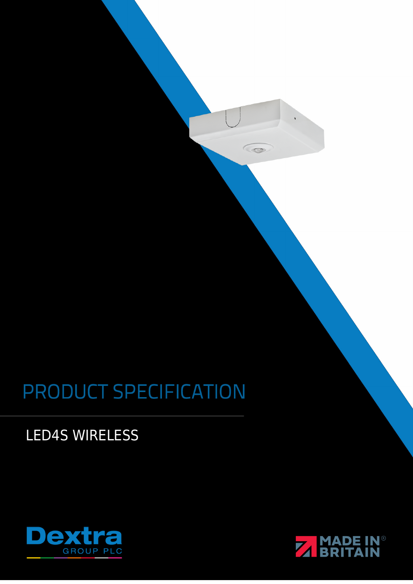# PRODUCT SPECIFICATION

**LED4S WIRELESS** 





O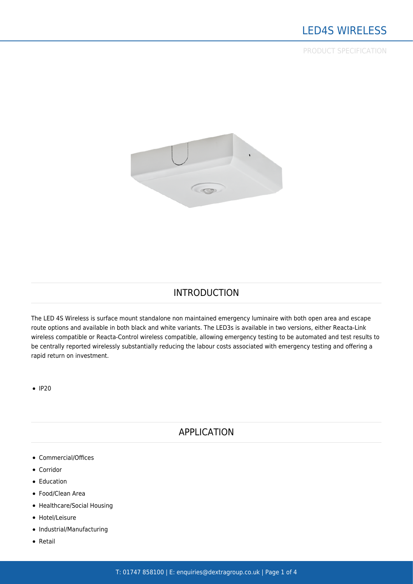PRODUCT SPECIFICATION



## INTRODUCTION

The LED 4S Wireless is surface mount standalone non maintained emergency luminaire with both open area and escape route options and available in both black and white variants. The LED3s is available in two versions, either Reacta-Link wireless compatible or Reacta-Control wireless compatible, allowing emergency testing to be automated and test results to be centrally reported wirelessly substantially reducing the labour costs associated with emergency testing and offering a rapid return on investment.

 $\bullet$  IP20

### APPLICATION

- [Commercial/Offices](https://www.dextragroup.co.uk/application/commercial/)
- [Corridor](https://www.dextragroup.co.uk/application/corridor/)
- [Education](https://www.dextragroup.co.uk/application/education/)
- [Food/Clean Area](https://www.dextragroup.co.uk/application/foodclean-area/)
- [Healthcare/Social Housing](https://www.dextragroup.co.uk/application/healthcaresocial-housing/)
- [Hotel/Leisure](https://www.dextragroup.co.uk/application/hotel-leisure/)
- [Industrial/Manufacturing](https://www.dextragroup.co.uk/application/industrialmanufacturing/)
- [Retail](https://www.dextragroup.co.uk/application/retail/)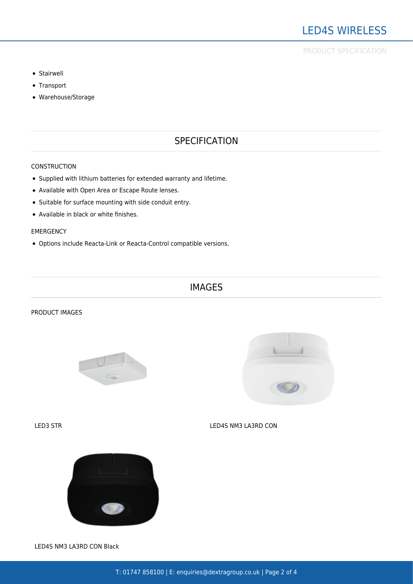- [Stairwell](https://www.dextragroup.co.uk/application/stairwell/)
- [Transport](https://www.dextragroup.co.uk/application/transport/)
- [Warehouse/Storage](https://www.dextragroup.co.uk/application/warehousestorage/)

# **SPECIFICATION**

### **CONSTRUCTION**

- Supplied with lithium batteries for extended warranty and lifetime.
- Available with Open Area or Escape Route lenses.
- Suitable for surface mounting with side conduit entry.
- Available in black or white finishes.

### EMERGENCY

Options include Reacta-Link or Reacta-Control compatible versions.

### IMAGES

### PRODUCT IMAGES





LED3 STR LED4S NM3 LA3RD CON



LED4S NM3 LA3RD CON Black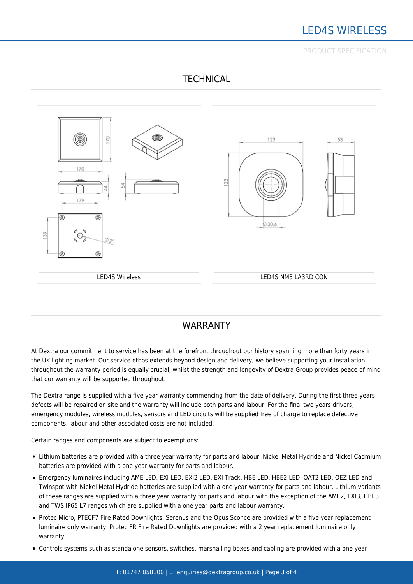# LED4S WIRELESS

PRODUCT SPECIFICATION



# **TECHNICAL**

# WARRANTY

At Dextra our commitment to service has been at the forefront throughout our history spanning more than forty years in the UK lighting market. Our service ethos extends beyond design and delivery, we believe supporting your installation throughout the warranty period is equally crucial, whilst the strength and longevity of Dextra Group provides peace of mind that our warranty will be supported throughout.

The Dextra range is supplied with a five year warranty commencing from the date of delivery. During the first three years defects will be repaired on site and the warranty will include both parts and labour. For the final two years drivers, emergency modules, wireless modules, sensors and LED circuits will be supplied free of charge to replace defective components, labour and other associated costs are not included.

Certain ranges and components are subject to exemptions:

- Lithium batteries are provided with a three year warranty for parts and labour. Nickel Metal Hydride and Nickel Cadmium batteries are provided with a one year warranty for parts and labour.
- Emergency luminaires including AME LED, EXI LED, EXI2 LED, EXI Track, HBE LED, HBE2 LED, OAT2 LED, OEZ LED and Twinspot with Nickel Metal Hydride batteries are supplied with a one year warranty for parts and labour. Lithium variants of these ranges are supplied with a three year warranty for parts and labour with the exception of the AME2, EXI3, HBE3 and TWS IP65 L7 ranges which are supplied with a one year parts and labour warranty.
- Protec Micro, PTECF7 Fire Rated Downlights, Serenus and the Opus Sconce are provided with a five year replacement luminaire only warranty. Protec FR Fire Rated Downlights are provided with a 2 year replacement luminaire only warranty.
- Controls systems such as standalone sensors, switches, marshalling boxes and cabling are provided with a one year